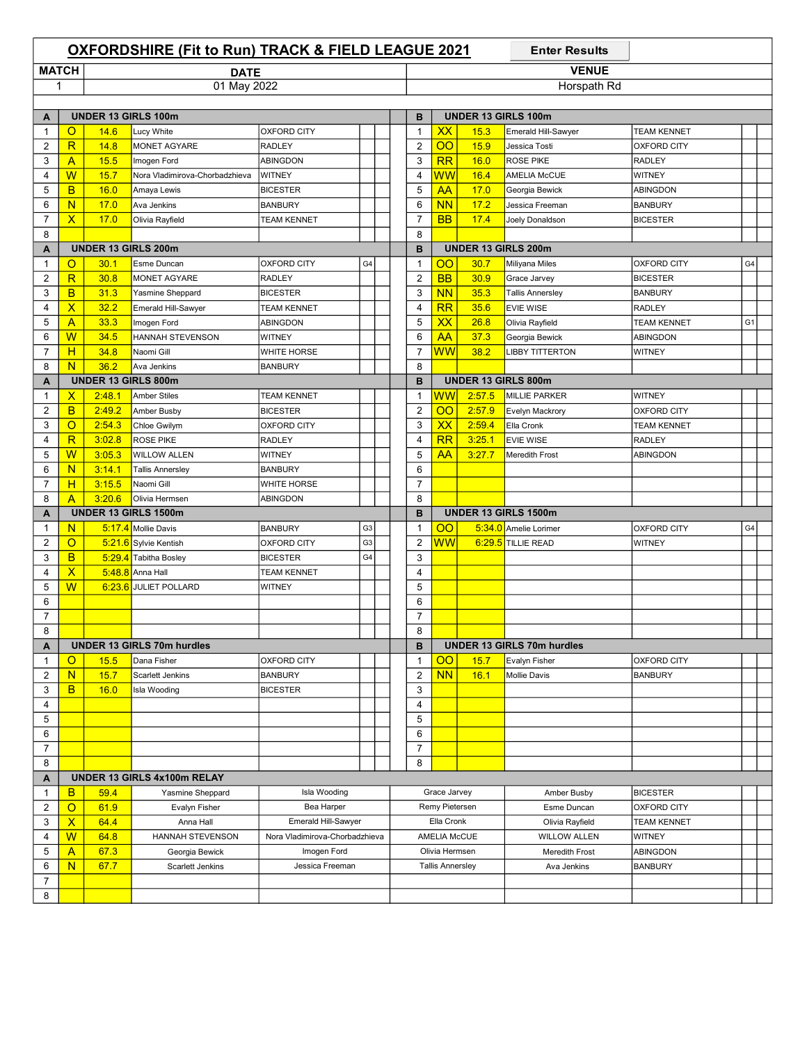|                |                           |                            | <b>OXFORDSHIRE (Fit to Run) TRACK &amp; FIELD LEAGUE 2021</b> |                                |                |  |              |                |                          |        | <b>Enter Results</b>              |                    |                |  |  |  |  |  |
|----------------|---------------------------|----------------------------|---------------------------------------------------------------|--------------------------------|----------------|--|--------------|----------------|--------------------------|--------|-----------------------------------|--------------------|----------------|--|--|--|--|--|
| <b>MATCH</b>   |                           |                            | <b>DATE</b>                                                   |                                |                |  | <b>VENUE</b> |                |                          |        |                                   |                    |                |  |  |  |  |  |
| 1              |                           |                            | 01 May 2022                                                   |                                |                |  |              |                |                          |        | Horspath Rd                       |                    |                |  |  |  |  |  |
|                |                           |                            |                                                               |                                |                |  |              |                |                          |        |                                   |                    |                |  |  |  |  |  |
| A              |                           |                            | <b>UNDER 13 GIRLS 100m</b>                                    |                                |                |  |              | B              |                          |        | UNDER 13 GIRLS 100m               |                    |                |  |  |  |  |  |
| $\overline{1}$ | $\circ$                   | 14.6                       | Lucy White                                                    | <b>OXFORD CITY</b>             |                |  |              | $\mathbf{1}$   | XX                       | 15.3   | Emerald Hill-Sawyer               | <b>TEAM KENNET</b> |                |  |  |  |  |  |
| $\overline{2}$ | $\overline{\mathsf{R}}$   | 14.8                       | MONET AGYARE                                                  | <b>RADLEY</b>                  |                |  |              | $\overline{2}$ | $\overline{O}O$          | 15.9   | Jessica Tosti                     | <b>OXFORD CITY</b> |                |  |  |  |  |  |
| 3              | $\overline{A}$            | 15.5                       | Imogen Ford                                                   | <b>ABINGDON</b>                |                |  |              | 3              | RR                       | 16.0   | <b>ROSE PIKE</b>                  | <b>RADLEY</b>      |                |  |  |  |  |  |
| 4              | W                         | 15.7                       | Nora Vladimirova-Chorbadzhieva                                | <b>WITNEY</b>                  |                |  |              | 4              | $\overline{\textsf{WW}}$ | 16.4   | <b>AMELIA McCUE</b>               | <b>WITNEY</b>      |                |  |  |  |  |  |
| 5              | B                         | 16.0                       | Amaya Lewis                                                   | <b>BICESTER</b>                |                |  |              | 5              | AA                       | 17.0   | Georgia Bewick                    | <b>ABINGDON</b>    |                |  |  |  |  |  |
| 6              | N                         | 17.0                       | Ava Jenkins                                                   | <b>BANBURY</b>                 |                |  |              | 6              | <b>NN</b>                | 17.2   | Jessica Freeman                   | <b>BANBURY</b>     |                |  |  |  |  |  |
| $\overline{7}$ | $\overline{\mathsf{x}}$   | 17.0                       | Olivia Rayfield                                               | <b>TEAM KENNET</b>             |                |  |              | $\overline{7}$ | <b>BB</b>                | 17.4   | Joely Donaldson                   | <b>BICESTER</b>    |                |  |  |  |  |  |
| 8              |                           |                            |                                                               |                                |                |  |              | 8              |                          |        |                                   |                    |                |  |  |  |  |  |
| A              |                           |                            | <b>UNDER 13 GIRLS 200m</b>                                    |                                |                |  |              | B              |                          |        | UNDER 13 GIRLS 200m               |                    |                |  |  |  |  |  |
| $\mathbf{1}$   | O                         | 30.1                       | Esme Duncan                                                   | <b>OXFORD CITY</b>             | G4             |  |              | $\mathbf 1$    | <u>00</u>                | 30.7   | Miliyana Miles                    | <b>OXFORD CITY</b> | G4             |  |  |  |  |  |
| $\overline{2}$ | $\overline{\mathsf{R}}$   | 30.8                       | <b>MONET AGYARE</b>                                           | <b>RADLEY</b>                  |                |  |              | $\overline{2}$ | <b>BB</b>                | 30.9   | Grace Jarvey                      | <b>BICESTER</b>    |                |  |  |  |  |  |
| 3              | B                         | 31.3                       | Yasmine Sheppard                                              | <b>BICESTER</b>                |                |  |              | 3              | <b>NN</b>                | 35.3   | <b>Tallis Annersley</b>           | <b>BANBURY</b>     |                |  |  |  |  |  |
| 4              | $\boldsymbol{\mathsf{x}}$ | 32.2                       | Emerald Hill-Sawyer                                           | <b>TEAM KENNET</b>             |                |  |              | 4              | RR                       | 35.6   | <b>EVIE WISE</b>                  | <b>RADLEY</b>      |                |  |  |  |  |  |
| 5              | $\overline{A}$            | 33.3                       | Imogen Ford                                                   | ABINGDON                       |                |  |              | 5              | <b>XX</b>                | 26.8   | Olivia Rayfield                   | TEAM KENNET        | G <sub>1</sub> |  |  |  |  |  |
| 6              | W                         | 34.5                       | HANNAH STEVENSON                                              | WITNEY                         |                |  |              | 6              | <b>AA</b>                | 37.3   | Georgia Bewick                    | ABINGDON           |                |  |  |  |  |  |
| $\overline{7}$ | H                         | 34.8                       | Naomi Gill                                                    | <b>WHITE HORSE</b>             |                |  |              | $\overline{7}$ | $\overline{\textsf{ww}}$ | 38.2   | <b>LIBBY TITTERTON</b>            | WITNEY             |                |  |  |  |  |  |
| 8              | N                         | 36.2                       | Ava Jenkins                                                   | <b>BANBURY</b>                 |                |  |              | 8              |                          |        |                                   |                    |                |  |  |  |  |  |
| A              |                           | <b>UNDER 13 GIRLS 800m</b> |                                                               |                                |                |  |              | B              |                          |        | UNDER 13 GIRLS 800m               |                    |                |  |  |  |  |  |
| $\overline{1}$ | $\mathsf{x}$              | 2:48.1                     | <b>Amber Stiles</b>                                           | <b>TEAM KENNET</b>             |                |  |              | $\mathbf{1}$   | ww                       | 2:57.5 | <b>MILLIE PARKER</b>              | <b>WITNEY</b>      |                |  |  |  |  |  |
| $\overline{2}$ | B                         | 2:49.2                     | Amber Busby                                                   | <b>BICESTER</b>                |                |  |              | $\overline{2}$ | $\overline{O}O$          | 2:57.9 | <b>Evelyn Mackrory</b>            | <b>OXFORD CITY</b> |                |  |  |  |  |  |
| 3              | $\overline{O}$            | 2:54.3                     | Chloe Gwilym                                                  | <b>OXFORD CITY</b>             |                |  |              | 3              | XX                       | 2:59.4 | Ella Cronk                        | <b>TEAM KENNET</b> |                |  |  |  |  |  |
| $\overline{4}$ | $\overline{\mathsf{R}}$   | 3:02.8                     | <b>ROSE PIKE</b>                                              | RADLEY                         |                |  |              | $\overline{4}$ | RR                       | 3:25.1 | <b>EVIE WISE</b>                  | <b>RADLEY</b>      |                |  |  |  |  |  |
| 5              | W                         | 3:05.3                     | <b>WILLOW ALLEN</b>                                           | WITNEY                         |                |  |              | 5              | AA                       | 3:27.7 | <b>Meredith Frost</b>             | ABINGDON           |                |  |  |  |  |  |
| 6              | N                         | 3:14.1                     | <b>Tallis Annersley</b>                                       | <b>BANBURY</b>                 |                |  |              | 6              |                          |        |                                   |                    |                |  |  |  |  |  |
| $\overline{7}$ | H                         | 3:15.5                     | Naomi Gill                                                    | <b>WHITE HORSE</b>             |                |  |              | $\overline{7}$ |                          |        |                                   |                    |                |  |  |  |  |  |
| 8              | A                         | 3:20.6                     | Olivia Hermsen                                                | ABINGDON                       |                |  |              | 8              |                          |        |                                   |                    |                |  |  |  |  |  |
| A              |                           |                            | <b>UNDER 13 GIRLS 1500m</b>                                   |                                |                |  |              | B              |                          |        | <b>UNDER 13 GIRLS 1500m</b>       |                    |                |  |  |  |  |  |
| $\mathbf{1}$   | N                         |                            | 5:17.4 Mollie Davis                                           | <b>BANBURY</b>                 | G <sub>3</sub> |  |              | $\mathbf{1}$   | <u>00</u>                |        | 5:34.0 Amelie Lorimer             | <b>OXFORD CITY</b> | G4             |  |  |  |  |  |
| $\overline{2}$ | $\circ$                   |                            | 5:21.6 Sylvie Kentish                                         | OXFORD CITY                    | G <sub>3</sub> |  |              | $\overline{2}$ | <b>WW</b>                |        | $6:29.5$ TILLIE READ              | WITNEY             |                |  |  |  |  |  |
| 3              | B                         |                            | 5:29.4 Tabitha Bosley                                         | <b>BICESTER</b>                | G4             |  |              | 3              |                          |        |                                   |                    |                |  |  |  |  |  |
| 4              | $\boldsymbol{\mathsf{x}}$ |                            | $5:48.8$ Anna Hall                                            | <b>TEAM KENNET</b>             |                |  |              | 4              |                          |        |                                   |                    |                |  |  |  |  |  |
| 5              | W                         |                            | 6:23.6 JULIET POLLARD                                         | <b>WITNEY</b>                  |                |  |              | 5              |                          |        |                                   |                    |                |  |  |  |  |  |
| 6              |                           |                            |                                                               |                                |                |  |              | 6              |                          |        |                                   |                    |                |  |  |  |  |  |
| $\overline{7}$ |                           |                            |                                                               |                                |                |  |              | 7              |                          |        |                                   |                    |                |  |  |  |  |  |
| 8              |                           |                            |                                                               |                                |                |  |              | 8              |                          |        |                                   |                    |                |  |  |  |  |  |
| A              |                           |                            | <b>UNDER 13 GIRLS 70m hurdles</b>                             |                                |                |  |              | в              |                          |        | <b>UNDER 13 GIRLS 70m hurdles</b> |                    |                |  |  |  |  |  |
| $\mathbf 1$    | O                         | 15.5                       | Dana Fisher                                                   | <b>OXFORD CITY</b>             |                |  |              | 1              | 00                       | 15.7   | Evalyn Fisher                     | <b>OXFORD CITY</b> |                |  |  |  |  |  |
| $\overline{c}$ | N                         | 15.7                       | Scarlett Jenkins                                              | <b>BANBURY</b>                 |                |  |              | 2              | <b>NN</b>                | 16.1   | <b>Mollie Davis</b>               | <b>BANBURY</b>     |                |  |  |  |  |  |
| 3              | <b>B</b>                  | 16.0                       | Isla Wooding                                                  | <b>BICESTER</b>                |                |  |              | 3              |                          |        |                                   |                    |                |  |  |  |  |  |
| 4              |                           |                            |                                                               |                                |                |  |              | 4              |                          |        |                                   |                    |                |  |  |  |  |  |
| 5              |                           |                            |                                                               |                                |                |  |              | 5              |                          |        |                                   |                    |                |  |  |  |  |  |
| 6              |                           |                            |                                                               |                                |                |  |              | 6              |                          |        |                                   |                    |                |  |  |  |  |  |
| $\overline{7}$ |                           |                            |                                                               |                                |                |  |              | $\overline{7}$ |                          |        |                                   |                    |                |  |  |  |  |  |
| 8              |                           |                            |                                                               |                                |                |  |              | 8              |                          |        |                                   |                    |                |  |  |  |  |  |
| A              |                           |                            | UNDER 13 GIRLS 4x100m RELAY                                   |                                |                |  |              |                |                          |        |                                   |                    |                |  |  |  |  |  |
| $\mathbf{1}$   | B                         | 59.4                       | Yasmine Sheppard                                              | Isla Wooding                   |                |  |              |                | Grace Jarvey             |        | Amber Busby                       | <b>BICESTER</b>    |                |  |  |  |  |  |
| 2              | $\overline{O}$            | 61.9                       | Evalyn Fisher                                                 | Bea Harper                     |                |  |              |                | Remy Pietersen           |        | Esme Duncan                       | <b>OXFORD CITY</b> |                |  |  |  |  |  |
| 3              | $\mathsf{x}$              | 64.4                       | Anna Hall                                                     | Emerald Hill-Sawyer            |                |  |              |                | Ella Cronk               |        | Olivia Rayfield                   | TEAM KENNET        |                |  |  |  |  |  |
| 4              | W                         | 64.8                       | HANNAH STEVENSON                                              | Nora Vladimirova-Chorbadzhieva |                |  |              |                | <b>AMELIA McCUE</b>      |        | <b>WILLOW ALLEN</b>               | WITNEY             |                |  |  |  |  |  |
| 5              | A                         | 67.3                       | Georgia Bewick                                                | Imogen Ford                    |                |  |              |                | Olivia Hermsen           |        | Meredith Frost                    | ABINGDON           |                |  |  |  |  |  |
| 6              | N                         | 67.7                       | Scarlett Jenkins                                              | Jessica Freeman                |                |  |              |                | <b>Tallis Annersley</b>  |        | Ava Jenkins                       | <b>BANBURY</b>     |                |  |  |  |  |  |
| $\overline{7}$ |                           |                            |                                                               |                                |                |  |              |                |                          |        |                                   |                    |                |  |  |  |  |  |
| 8              |                           |                            |                                                               |                                |                |  |              |                |                          |        |                                   |                    |                |  |  |  |  |  |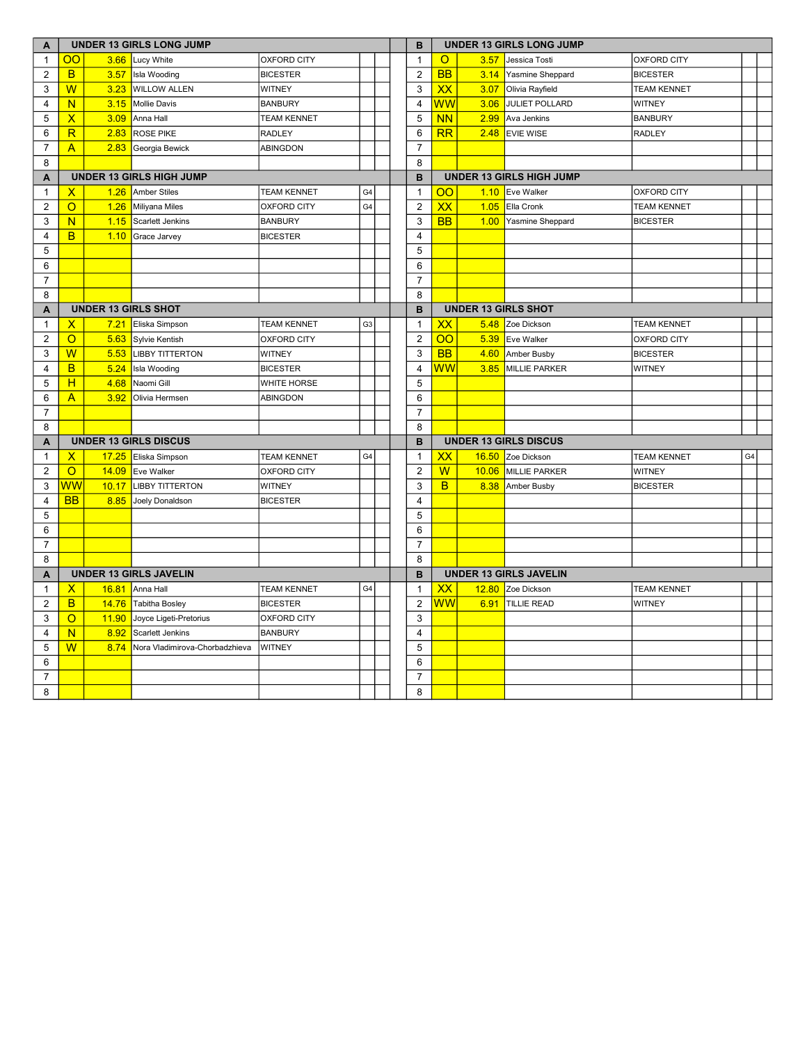| A                       | <b>UNDER 13 GIRLS LONG JUMP</b> |       |                                |                    |                |   | в                       |                              | <b>UNDER 13 GIRLS LONG JUMP</b> |                               |                    |    |  |  |
|-------------------------|---------------------------------|-------|--------------------------------|--------------------|----------------|---|-------------------------|------------------------------|---------------------------------|-------------------------------|--------------------|----|--|--|
| $\mathbf{1}$            | OO                              |       | 3.66 Lucy White                | <b>OXFORD CITY</b> |                |   | $\mathbf{1}$            | $\circ$                      | 3.57                            | Jessica Tosti                 | <b>OXFORD CITY</b> |    |  |  |
| $\overline{2}$          | <sub>B</sub>                    | 3.57  | Isla Wooding                   | <b>BICESTER</b>    |                |   | 2                       | <b>BB</b>                    | 3.14                            | Yasmine Sheppard              | <b>BICESTER</b>    |    |  |  |
| 3                       | $\overline{W}$                  | 3.23  | <b>WILLOW ALLEN</b>            | <b>WITNEY</b>      |                |   | 3                       | XX                           | 3.07                            | Olivia Rayfield               | <b>TEAM KENNET</b> |    |  |  |
| $\overline{\mathbf{4}}$ | N                               | 3.15  | Mollie Davis                   | <b>BANBURY</b>     |                |   | $\overline{\mathbf{4}}$ | ${\sf WW}$                   | 3.06                            | JULIET POLLARD                | <b>WITNEY</b>      |    |  |  |
| 5                       | $\mathsf{X}$                    | 3.09  | Anna Hall                      | <b>TEAM KENNET</b> |                |   | 5                       | <b>NN</b>                    | 2.99                            | Ava Jenkins                   | <b>BANBURY</b>     |    |  |  |
| 6                       | R                               | 2.83  | <b>ROSE PIKE</b>               | <b>RADLEY</b>      |                |   | 6                       | RR                           | 2.48                            | <b>EVIE WISE</b>              | <b>RADLEY</b>      |    |  |  |
| $\boldsymbol{7}$        | $\mathsf{A}$                    |       | 2.83 Georgia Bewick            | ABINGDON           |                |   | $\overline{7}$          |                              |                                 |                               |                    |    |  |  |
| 8                       |                                 |       |                                |                    |                |   | 8                       |                              |                                 |                               |                    |    |  |  |
| A                       | <b>UNDER 13 GIRLS HIGH JUMP</b> |       |                                |                    |                | B |                         |                              | <b>UNDER 13 GIRLS HIGH JUMP</b> |                               |                    |    |  |  |
| $\mathbf{1}$            | $\mathsf{X}$                    | 1.26  | Amber Stiles                   | <b>TEAM KENNET</b> | G <sub>4</sub> |   | $\mathbf{1}$            | OO                           |                                 | 1.10 Eve Walker               | <b>OXFORD CITY</b> |    |  |  |
| 2                       | $\circ$                         | 1.26  | Miliyana Miles                 | <b>OXFORD CITY</b> | G <sub>4</sub> |   | 2                       | XX                           | 1.05                            | Ella Cronk                    | <b>TEAM KENNET</b> |    |  |  |
| 3                       | N.                              | 1.15  | <b>Scarlett Jenkins</b>        | <b>BANBURY</b>     |                |   | 3                       | <b>BB</b>                    | 1.00                            | Yasmine Sheppard              | <b>BICESTER</b>    |    |  |  |
| 4                       | B                               |       | 1.10 Grace Jarvey              | <b>BICESTER</b>    |                |   | $\overline{\mathbf{4}}$ |                              |                                 |                               |                    |    |  |  |
| 5                       |                                 |       |                                |                    |                |   | 5                       |                              |                                 |                               |                    |    |  |  |
| 6                       |                                 |       |                                |                    |                |   | 6                       |                              |                                 |                               |                    |    |  |  |
| $\overline{7}$          |                                 |       |                                |                    |                |   | $\overline{7}$          |                              |                                 |                               |                    |    |  |  |
| 8                       |                                 |       |                                |                    |                |   | 8                       |                              |                                 |                               |                    |    |  |  |
| $\overline{A}$          | <b>UNDER 13 GIRLS SHOT</b>      |       |                                |                    |                |   | B                       | <b>UNDER 13 GIRLS SHOT</b>   |                                 |                               |                    |    |  |  |
| $\mathbf{1}$            | $\mathsf{x}$                    | 7.21  | Eliska Simpson                 | <b>TEAM KENNET</b> | G <sub>3</sub> |   | $\mathbf{1}$            | XX                           | 5.48                            | Zoe Dickson                   | <b>TEAM KENNET</b> |    |  |  |
| $\overline{2}$          | $\Omega$                        | 5.63  | Sylvie Kentish                 | <b>OXFORD CITY</b> |                |   | $\overline{2}$          | $\overline{O}O$              | 5.39                            | Eve Walker                    | <b>OXFORD CITY</b> |    |  |  |
| 3                       | W                               | 5.53  | <b>LIBBY TITTERTON</b>         | <b>WITNEY</b>      |                |   | 3                       | <b>BB</b>                    | 4.60                            | Amber Busby                   | <b>BICESTER</b>    |    |  |  |
| 4                       | B                               | 5.24  | Isla Wooding                   | <b>BICESTER</b>    |                |   | $\overline{\mathbf{4}}$ | ${\sf WW}$                   | 3.85                            | MILLIE PARKER                 | <b>WITNEY</b>      |    |  |  |
| 5                       | H                               | 4.68  | Naomi Gill                     | <b>WHITE HORSE</b> |                |   | 5                       |                              |                                 |                               |                    |    |  |  |
| 6                       | $\overline{A}$                  | 3.92  | Olivia Hermsen                 | <b>ABINGDON</b>    |                |   | 6                       |                              |                                 |                               |                    |    |  |  |
| $\overline{7}$          |                                 |       |                                |                    |                |   | $\overline{7}$          |                              |                                 |                               |                    |    |  |  |
| 8                       |                                 |       |                                |                    |                |   | 8                       |                              |                                 |                               |                    |    |  |  |
| A                       |                                 |       | <b>UNDER 13 GIRLS DISCUS</b>   |                    |                |   | B                       | <b>UNDER 13 GIRLS DISCUS</b> |                                 |                               |                    |    |  |  |
| $\mathbf{1}$            | $\mathsf{X}$                    |       | 17.25 Eliska Simpson           | <b>TEAM KENNET</b> | G4             |   | $\mathbf{1}$            | XX                           |                                 | 16.50 Zoe Dickson             | <b>TEAM KENNET</b> | G4 |  |  |
| $\overline{2}$          | $\overline{O}$                  | 14.09 | Eve Walker                     | <b>OXFORD CITY</b> |                |   | $\overline{2}$          | $\overline{W}$               | 10.06                           | MILLIE PARKER                 | <b>WITNEY</b>      |    |  |  |
| 3                       | WW                              | 10.17 | <b>LIBBY TITTERTON</b>         | <b>WITNEY</b>      |                |   | 3                       | B                            | 8.38                            | Amber Busby                   | <b>BICESTER</b>    |    |  |  |
| $\overline{4}$          | <b>BB</b>                       | 8.85  | Joely Donaldson                | <b>BICESTER</b>    |                |   | $\overline{4}$          |                              |                                 |                               |                    |    |  |  |
| 5                       |                                 |       |                                |                    |                |   | 5                       |                              |                                 |                               |                    |    |  |  |
| 6                       |                                 |       |                                |                    |                |   | 6                       |                              |                                 |                               |                    |    |  |  |
| $\overline{7}$          |                                 |       |                                |                    |                |   | $\overline{7}$          |                              |                                 |                               |                    |    |  |  |
| 8                       |                                 |       |                                |                    |                |   | 8                       |                              |                                 |                               |                    |    |  |  |
| A                       |                                 |       | <b>UNDER 13 GIRLS JAVELIN</b>  |                    |                |   | В                       |                              |                                 | <b>UNDER 13 GIRLS JAVELIN</b> |                    |    |  |  |
| $\mathbf{1}$            | $\mathsf{X}$                    | 16.81 | Anna Hall                      | <b>TEAM KENNET</b> | G <sub>4</sub> |   | $\mathbf{1}$            | XX                           | 12.80                           | Zoe Dickson                   | <b>TEAM KENNET</b> |    |  |  |
| $\overline{2}$          | B.                              |       | 14.76 Tabitha Bosley           | <b>BICESTER</b>    |                |   | $\overline{2}$          | $\overline{\textsf{WW}}$     | 6.91                            | TILLIE READ                   | <b>WITNEY</b>      |    |  |  |
| 3                       | $\overline{O}$                  | 11.90 | Joyce Ligeti-Pretorius         | <b>OXFORD CITY</b> |                |   | 3                       |                              |                                 |                               |                    |    |  |  |
| 4                       | N.                              | 8.92  | <b>Scarlett Jenkins</b>        | <b>BANBURY</b>     |                |   | $\overline{4}$          |                              |                                 |                               |                    |    |  |  |
| 5                       | $\overline{\mathsf{W}}$         | 8.74  | Nora Vladimirova-Chorbadzhieva | <b>WITNEY</b>      |                |   | 5                       |                              |                                 |                               |                    |    |  |  |
| 6                       |                                 |       |                                |                    |                |   | 6                       |                              |                                 |                               |                    |    |  |  |
| $\overline{7}$          |                                 |       |                                |                    |                |   | $\overline{7}$          |                              |                                 |                               |                    |    |  |  |
| 8                       |                                 |       |                                |                    |                |   | 8                       |                              |                                 |                               |                    |    |  |  |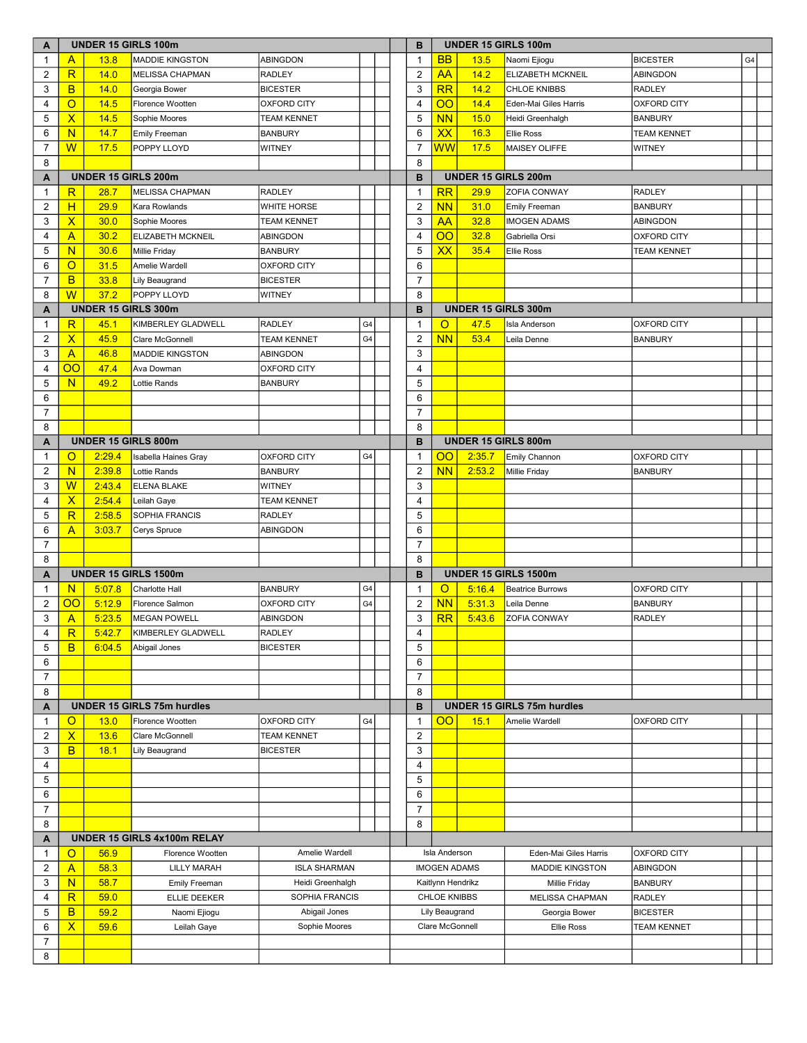| A              | <b>UNDER 15 GIRLS 100m</b> |               |                                   |                     |                |  |  | в              | <b>UNDER 15 GIRLS 100m</b> |        |                                   |                    |    |  |
|----------------|----------------------------|---------------|-----------------------------------|---------------------|----------------|--|--|----------------|----------------------------|--------|-----------------------------------|--------------------|----|--|
| $\mathbf{1}$   | A                          | 13.8          | <b>MADDIE KINGSTON</b>            | <b>ABINGDON</b>     |                |  |  | $\mathbf{1}$   | <b>BB</b>                  | 13.5   | Naomi Ejiogu                      | <b>BICESTER</b>    | G4 |  |
| 2              | R                          | 14.0          | <b>MELISSA CHAPMAN</b>            | <b>RADLEY</b>       |                |  |  | $\overline{2}$ | AA                         | 14.2   | <b>ELIZABETH MCKNEIL</b>          | <b>ABINGDON</b>    |    |  |
| 3              | B                          | 14.0          | Georgia Bower                     | <b>BICESTER</b>     |                |  |  | 3              | RR                         | 14.2   | <b>CHLOE KNIBBS</b>               | <b>RADLEY</b>      |    |  |
| 4              | $\circ$                    | 14.5          | Florence Wootten                  | <b>OXFORD CITY</b>  |                |  |  | $\overline{4}$ | OO                         | 14.4   | Eden-Mai Giles Harris             | <b>OXFORD CITY</b> |    |  |
| 5              | $\overline{\mathsf{X}}$    | 14.5          | Sophie Moores                     | <b>TEAM KENNET</b>  |                |  |  | 5              | N <sub>N</sub>             | 15.0   | Heidi Greenhalgh                  | <b>BANBURY</b>     |    |  |
| 6              | N                          | 14.7          | Emily Freeman                     | <b>BANBURY</b>      |                |  |  | 6              | XX                         | 16.3   | <b>Ellie Ross</b>                 | <b>TEAM KENNET</b> |    |  |
| 7              | W                          | 17.5          | POPPY LLOYD                       | <b>WITNEY</b>       |                |  |  | 7              | <mark>WW</mark>            | 17.5   | <b>MAISEY OLIFFE</b>              | <b>WITNEY</b>      |    |  |
| 8              |                            |               |                                   |                     |                |  |  | 8              |                            |        |                                   |                    |    |  |
| A              | <b>UNDER 15 GIRLS 200m</b> |               |                                   |                     |                |  |  | B              |                            |        | <b>UNDER 15 GIRLS 200m</b>        |                    |    |  |
| 1              | R                          | 28.7          | <b>MELISSA CHAPMAN</b>            | <b>RADLEY</b>       |                |  |  | $\mathbf{1}$   | RR                         | 29.9   | <b>ZOFIA CONWAY</b>               | <b>RADLEY</b>      |    |  |
| 2              | H                          | 29.9          | Kara Rowlands                     | <b>WHITE HORSE</b>  |                |  |  | $\overline{2}$ | <b>NN</b>                  | 31.0   | <b>Emily Freeman</b>              | <b>BANBURY</b>     |    |  |
| 3              | $\overline{\mathsf{x}}$    | 30.0          | Sophie Moores                     | <b>TEAM KENNET</b>  |                |  |  | 3              | <b>AA</b>                  | 32.8   | <b>IMOGEN ADAMS</b>               | ABINGDON           |    |  |
| 4              | $\overline{A}$             | 30.2          | ELIZABETH MCKNEIL                 | ABINGDON            |                |  |  | $\overline{4}$ | $\overline{O}O$            | 32.8   | Gabriella Orsi                    | <b>OXFORD CITY</b> |    |  |
| 5              | N                          | 30.6          | <b>Millie Friday</b>              | <b>BANBURY</b>      |                |  |  | 5              | <b>XX</b>                  | 35.4   | <b>Ellie Ross</b>                 | <b>TEAM KENNET</b> |    |  |
| 6              | $\circ$                    | 31.5          | Amelie Wardell                    | <b>OXFORD CITY</b>  |                |  |  | 6              |                            |        |                                   |                    |    |  |
| $\overline{7}$ | B.                         | 33.8          | Lily Beaugrand                    | <b>BICESTER</b>     |                |  |  | $\overline{7}$ |                            |        |                                   |                    |    |  |
| 8              | W                          | 37.2          | POPPY LLOYD                       | <b>WITNEY</b>       |                |  |  | 8              |                            |        |                                   |                    |    |  |
| A              |                            |               | <b>UNDER 15 GIRLS 300m</b>        |                     |                |  |  | в              |                            |        | <b>UNDER 15 GIRLS 300m</b>        |                    |    |  |
| 1              | $\overline{\mathsf{R}}$    | 45.1          | KIMBERLEY GLADWELL                | <b>RADLEY</b>       | G4             |  |  | 1              | O                          | 47.5   | <b>Isla Anderson</b>              | <b>OXFORD CITY</b> |    |  |
| 2              | $\overline{X}$             | 45.9          | Clare McGonnell                   | <b>TEAM KENNET</b>  | G4             |  |  | 2              | <b>NN</b>                  | 53.4   | Leila Denne                       | <b>BANBURY</b>     |    |  |
| 3              | $\overline{A}$             | 46.8          | <b>MADDIE KINGSTON</b>            | ABINGDON            |                |  |  | 3              |                            |        |                                   |                    |    |  |
| 4              | OO                         | 47.4          | Ava Dowman                        | <b>OXFORD CITY</b>  |                |  |  | $\overline{4}$ |                            |        |                                   |                    |    |  |
| 5              | N                          | 49.2          | Lottie Rands                      | <b>BANBURY</b>      |                |  |  | 5              |                            |        |                                   |                    |    |  |
| 6              |                            |               |                                   |                     |                |  |  | 6              |                            |        |                                   |                    |    |  |
| 7              |                            |               |                                   |                     |                |  |  | 7              |                            |        |                                   |                    |    |  |
| 8              |                            |               |                                   |                     |                |  |  | 8              |                            |        |                                   |                    |    |  |
| A              |                            |               | UNDER 15 GIRLS 800m               |                     |                |  |  | B              |                            |        | <b>UNDER 15 GIRLS 800m</b>        |                    |    |  |
| 1              | $\circ$                    | 2:29.4        | Isabella Haines Gray              | <b>OXFORD CITY</b>  | G <sub>4</sub> |  |  | 1              | $\overline{O}O$            | 2:35.7 | Emily Channon                     | <b>OXFORD CITY</b> |    |  |
| 2              | N                          | 2:39.8        | Lottie Rands                      | <b>BANBURY</b>      |                |  |  | $\overline{2}$ | <b>NN</b>                  | 2:53.2 | Millie Friday                     | <b>BANBURY</b>     |    |  |
| 3              | W                          | 2:43.4        | <b>ELENA BLAKE</b>                | <b>WITNEY</b>       |                |  |  | 3              |                            |        |                                   |                    |    |  |
| 4              | $\mathsf{X}$               | 2:54.4        | Leilah Gaye                       | <b>TEAM KENNET</b>  |                |  |  | $\overline{4}$ |                            |        |                                   |                    |    |  |
| 5              | R                          | 2:58.5        | SOPHIA FRANCIS                    | <b>RADLEY</b>       |                |  |  | 5              |                            |        |                                   |                    |    |  |
| 6              | $\overline{A}$             | 3:03.7        | Cerys Spruce                      | ABINGDON            |                |  |  | 6              |                            |        |                                   |                    |    |  |
| $\overline{7}$ |                            |               |                                   |                     |                |  |  | $\overline{7}$ |                            |        |                                   |                    |    |  |
| 8              |                            |               |                                   |                     |                |  |  | 8              |                            |        |                                   |                    |    |  |
| A              |                            |               | UNDER 15 GIRLS 1500m              |                     |                |  |  | в              |                            |        | UNDER 15 GIRLS 1500m              |                    |    |  |
| $\mathbf{1}$   | N                          | 5:07.8        | <b>Charlotte Hall</b>             | <b>BANBURY</b>      | G <sub>4</sub> |  |  | $\mathbf{1}$   | $\circ$                    | 5:16.4 | <b>Beatrice Burrows</b>           | <b>OXFORD CITY</b> |    |  |
| 2              | OO                         | 5:12.9        | Florence Salmon                   | <b>OXFORD CITY</b>  | G <sub>4</sub> |  |  | $\overline{2}$ | <b>NN</b>                  | 5:31.3 | Leila Denne                       | <b>BANBURY</b>     |    |  |
| 3              | $\overline{A}$             | 5:23.5        | <b>MEGAN POWELL</b>               | <b>ABINGDON</b>     |                |  |  | 3              | RR                         | 5:43.6 | <b>ZOFIA CONWAY</b>               | <b>RADLEY</b>      |    |  |
| 4              | ${\sf R}$                  | <u>5:42.7</u> | KIMBERLEY GLADWELL                | RADLEY              |                |  |  | 4              |                            |        |                                   |                    |    |  |
| 5<br>6         | B                          | 6:04.5        | Abigail Jones                     | <b>BICESTER</b>     |                |  |  | 5<br>6         |                            |        |                                   |                    |    |  |
| $\overline{7}$ |                            |               |                                   |                     |                |  |  | $\overline{7}$ |                            |        |                                   |                    |    |  |
| 8              |                            |               |                                   |                     |                |  |  | 8              |                            |        |                                   |                    |    |  |
| A              |                            |               | <b>UNDER 15 GIRLS 75m hurdles</b> |                     |                |  |  | B              |                            |        | <b>UNDER 15 GIRLS 75m hurdles</b> |                    |    |  |
| 1              | $\circ$                    | 13.0          | Florence Wootten                  | <b>OXFORD CITY</b>  | G <sub>4</sub> |  |  | 1              | $\overline{O}$             | 15.1   | Amelie Wardell                    | <b>OXFORD CITY</b> |    |  |
| 2              | $\mathsf{X}$               | 13.6          | Clare McGonnell                   | <b>TEAM KENNET</b>  |                |  |  | $\overline{2}$ |                            |        |                                   |                    |    |  |
| 3              | B                          | 18.1          | Lily Beaugrand                    | <b>BICESTER</b>     |                |  |  | 3              |                            |        |                                   |                    |    |  |
| 4              |                            |               |                                   |                     |                |  |  | $\overline{4}$ |                            |        |                                   |                    |    |  |
| 5              |                            |               |                                   |                     |                |  |  | 5              |                            |        |                                   |                    |    |  |
| 6              |                            |               |                                   |                     |                |  |  | 6              |                            |        |                                   |                    |    |  |
| $\overline{7}$ |                            |               |                                   |                     |                |  |  | $\overline{7}$ |                            |        |                                   |                    |    |  |
| 8              |                            |               |                                   |                     |                |  |  | 8              |                            |        |                                   |                    |    |  |
| A              |                            |               | UNDER 15 GIRLS 4x100m RELAY       |                     |                |  |  |                |                            |        |                                   |                    |    |  |
| $\mathbf{1}$   | $\circ$                    | 56.9          | Florence Wootten                  | Amelie Wardell      |                |  |  |                | Isla Anderson              |        | Eden-Mai Giles Harris             | <b>OXFORD CITY</b> |    |  |
| 2              | $\overline{A}$             | 58.3          | <b>LILLY MARAH</b>                | <b>ISLA SHARMAN</b> |                |  |  |                | <b>IMOGEN ADAMS</b>        |        | <b>MADDIE KINGSTON</b>            | <b>ABINGDON</b>    |    |  |
| 3              | N                          | 58.7          | Emily Freeman                     | Heidi Greenhalgh    |                |  |  |                | Kaitlynn Hendrikz          |        | Millie Friday                     | <b>BANBURY</b>     |    |  |
| 4              | $\overline{\mathsf{R}}$    | 59.0          | <b>ELLIE DEEKER</b>               | SOPHIA FRANCIS      |                |  |  |                | <b>CHLOE KNIBBS</b>        |        | MELISSA CHAPMAN                   | <b>RADLEY</b>      |    |  |
| 5              | B                          | 59.2          | Naomi Ejiogu                      | Abigail Jones       |                |  |  |                | Lily Beaugrand             |        | Georgia Bower                     | <b>BICESTER</b>    |    |  |
| 6              | $\mathsf{X}$               | 59.6          | Leilah Gaye                       | Sophie Moores       |                |  |  |                | Clare McGonnell            |        | <b>Ellie Ross</b>                 | <b>TEAM KENNET</b> |    |  |
| 7              |                            |               |                                   |                     |                |  |  |                |                            |        |                                   |                    |    |  |
| 8              |                            |               |                                   |                     |                |  |  |                |                            |        |                                   |                    |    |  |
|                |                            |               |                                   |                     |                |  |  |                |                            |        |                                   |                    |    |  |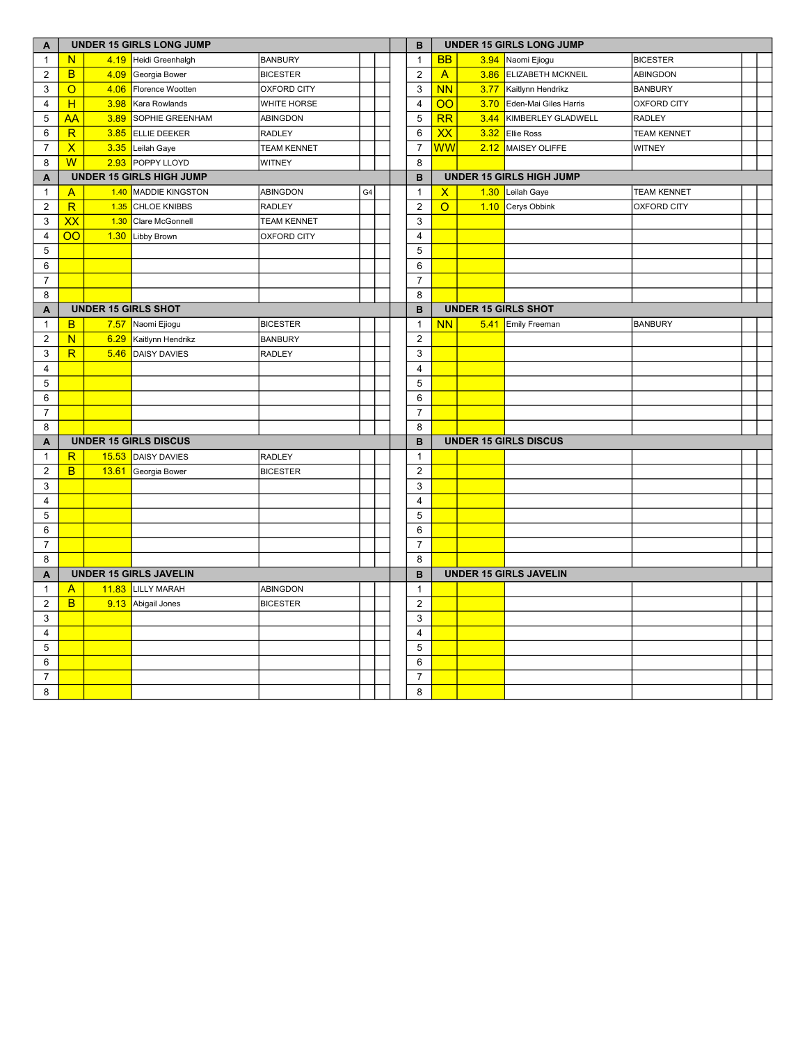| A                | <b>UNDER 15 GIRLS LONG JUMP</b> |       |                               |                    |    |  | B                       |                 | <b>UNDER 15 GIRLS LONG JUMP</b> |                                 |                    |  |  |  |
|------------------|---------------------------------|-------|-------------------------------|--------------------|----|--|-------------------------|-----------------|---------------------------------|---------------------------------|--------------------|--|--|--|
| $\mathbf{1}$     | N                               |       | 4.19 Heidi Greenhalgh         | <b>BANBURY</b>     |    |  | $\mathbf{1}$            | <b>BB</b>       | 3.94                            | Naomi Ejiogu                    | <b>BICESTER</b>    |  |  |  |
| 2                | B.                              | 4.09  | Georgia Bower                 | <b>BICESTER</b>    |    |  | $\overline{\mathbf{c}}$ | $\overline{A}$  | 3.86                            | <b>ELIZABETH MCKNEIL</b>        | <b>ABINGDON</b>    |  |  |  |
| 3                | $\overline{O}$                  | 4.06  | Florence Wootten              | <b>OXFORD CITY</b> |    |  | 3                       | <b>NN</b>       | 3.77                            | Kaitlynn Hendrikz               | <b>BANBURY</b>     |  |  |  |
| $\overline{4}$   | H                               | 3.98  | Kara Rowlands                 | WHITE HORSE        |    |  | $\overline{\mathbf{4}}$ | $\overline{O}O$ | 3.70                            | Eden-Mai Giles Harris           | <b>OXFORD CITY</b> |  |  |  |
| 5                | <b>AA</b>                       | 3.89  | <b>SOPHIE GREENHAM</b>        | ABINGDON           |    |  | $\overline{5}$          | $\overline{RR}$ | 3.44                            | KIMBERLEY GLADWELL              | <b>RADLEY</b>      |  |  |  |
| 6                | R                               | 3.85  | <b>ELLIE DEEKER</b>           | RADLEY             |    |  | 6                       | $\overline{XX}$ | 3.32                            | <b>Ellie Ross</b>               | <b>TEAM KENNET</b> |  |  |  |
| $\overline{7}$   | $\overline{\mathsf{x}}$         |       | 3.35 Leilah Gaye              | <b>TEAM KENNET</b> |    |  | $\overline{7}$          | WW              | 2.12                            | MAISEY OLIFFE                   | <b>WITNEY</b>      |  |  |  |
| 8                | $\overline{\mathsf{W}}$         |       | 2.93 POPPY LLOYD              | <b>WITNEY</b>      |    |  | 8                       |                 |                                 |                                 |                    |  |  |  |
| A                | <b>UNDER 15 GIRLS HIGH JUMP</b> |       |                               |                    |    |  | B                       |                 |                                 | <b>UNDER 15 GIRLS HIGH JUMP</b> |                    |  |  |  |
| $\mathbf{1}$     | $\mathsf{A}$                    |       | 1.40 MADDIE KINGSTON          | ABINGDON           | G4 |  | $\mathbf{1}$            | X               | 1.30                            | Leilah Gaye                     | <b>TEAM KENNET</b> |  |  |  |
| $\overline{2}$   | R                               | 1.35  | <b>CHLOE KNIBBS</b>           | <b>RADLEY</b>      |    |  | $\overline{2}$          | $\overline{O}$  |                                 | 1.10 Cerys Obbink               | <b>OXFORD CITY</b> |  |  |  |
| $\mathbf{3}$     | $\overline{\mathsf{xx}}$        | 1.30  | Clare McGonnell               | <b>TEAM KENNET</b> |    |  | 3                       |                 |                                 |                                 |                    |  |  |  |
| $\overline{4}$   | $\overline{OO}$                 | 1.30  | Libby Brown                   | <b>OXFORD CITY</b> |    |  | $\overline{\mathbf{4}}$ |                 |                                 |                                 |                    |  |  |  |
| 5                |                                 |       |                               |                    |    |  | 5                       |                 |                                 |                                 |                    |  |  |  |
| 6                |                                 |       |                               |                    |    |  | 6                       |                 |                                 |                                 |                    |  |  |  |
| $\boldsymbol{7}$ |                                 |       |                               |                    |    |  | $\overline{7}$          |                 |                                 |                                 |                    |  |  |  |
| 8                |                                 |       |                               |                    |    |  | 8                       |                 |                                 |                                 |                    |  |  |  |
| A                |                                 |       | <b>UNDER 15 GIRLS SHOT</b>    |                    |    |  | B                       |                 |                                 | <b>UNDER 15 GIRLS SHOT</b>      |                    |  |  |  |
| $\mathbf{1}$     | B                               | 7.57  | Naomi Ejiogu                  | <b>BICESTER</b>    |    |  | $\mathbf{1}$            | <b>NN</b>       | 5.41                            | <b>Emily Freeman</b>            | <b>BANBURY</b>     |  |  |  |
| $\overline{2}$   | N.                              | 6.29  | Kaitlynn Hendrikz             | <b>BANBURY</b>     |    |  | $\overline{2}$          |                 |                                 |                                 |                    |  |  |  |
| 3                | R                               | 5.46  | <b>DAISY DAVIES</b>           | RADLEY             |    |  | 3                       |                 |                                 |                                 |                    |  |  |  |
| 4                |                                 |       |                               |                    |    |  | 4                       |                 |                                 |                                 |                    |  |  |  |
| 5                |                                 |       |                               |                    |    |  | 5                       |                 |                                 |                                 |                    |  |  |  |
| 6                |                                 |       |                               |                    |    |  | 6                       |                 |                                 |                                 |                    |  |  |  |
| $\overline{7}$   |                                 |       |                               |                    |    |  | $\overline{7}$          |                 |                                 |                                 |                    |  |  |  |
| 8                |                                 |       |                               |                    |    |  | 8                       |                 |                                 |                                 |                    |  |  |  |
| A                |                                 |       | <b>UNDER 15 GIRLS DISCUS</b>  |                    |    |  | B                       |                 | <b>UNDER 15 GIRLS DISCUS</b>    |                                 |                    |  |  |  |
| $\mathbf{1}$     | R                               |       | 15.53 DAISY DAVIES            | <b>RADLEY</b>      |    |  | $\mathbf{1}$            |                 |                                 |                                 |                    |  |  |  |
| $\overline{2}$   | B.                              | 13.61 | Georgia Bower                 | <b>BICESTER</b>    |    |  | $\overline{2}$          |                 |                                 |                                 |                    |  |  |  |
| 3                |                                 |       |                               |                    |    |  | 3                       |                 |                                 |                                 |                    |  |  |  |
| 4                |                                 |       |                               |                    |    |  | $\overline{4}$          |                 |                                 |                                 |                    |  |  |  |
| 5                |                                 |       |                               |                    |    |  | 5                       |                 |                                 |                                 |                    |  |  |  |
| 6                |                                 |       |                               |                    |    |  | 6                       |                 |                                 |                                 |                    |  |  |  |
| $\overline{7}$   |                                 |       |                               |                    |    |  | $\overline{7}$          |                 |                                 |                                 |                    |  |  |  |
| 8                |                                 |       |                               |                    |    |  | 8                       |                 |                                 |                                 |                    |  |  |  |
| A                |                                 |       | <b>UNDER 15 GIRLS JAVELIN</b> |                    |    |  | B                       |                 |                                 | <b>UNDER 15 GIRLS JAVELIN</b>   |                    |  |  |  |
| $\mathbf{1}$     | $\mathsf{A}$                    |       | 11.83 LILLY MARAH             | <b>ABINGDON</b>    |    |  | $\mathbf{1}$            |                 |                                 |                                 |                    |  |  |  |
| $\overline{2}$   | B.                              |       | 9.13 Abigail Jones            | <b>BICESTER</b>    |    |  | $\overline{\mathbf{c}}$ |                 |                                 |                                 |                    |  |  |  |
| 3                |                                 |       |                               |                    |    |  | 3                       |                 |                                 |                                 |                    |  |  |  |
| $\overline{4}$   |                                 |       |                               |                    |    |  | 4                       |                 |                                 |                                 |                    |  |  |  |
| $\overline{5}$   |                                 |       |                               |                    |    |  | 5                       |                 |                                 |                                 |                    |  |  |  |
| 6                |                                 |       |                               |                    |    |  | 6                       |                 |                                 |                                 |                    |  |  |  |
| $\overline{7}$   |                                 |       |                               |                    |    |  | $\overline{7}$          |                 |                                 |                                 |                    |  |  |  |
| 8                |                                 |       |                               |                    |    |  | 8                       |                 |                                 |                                 |                    |  |  |  |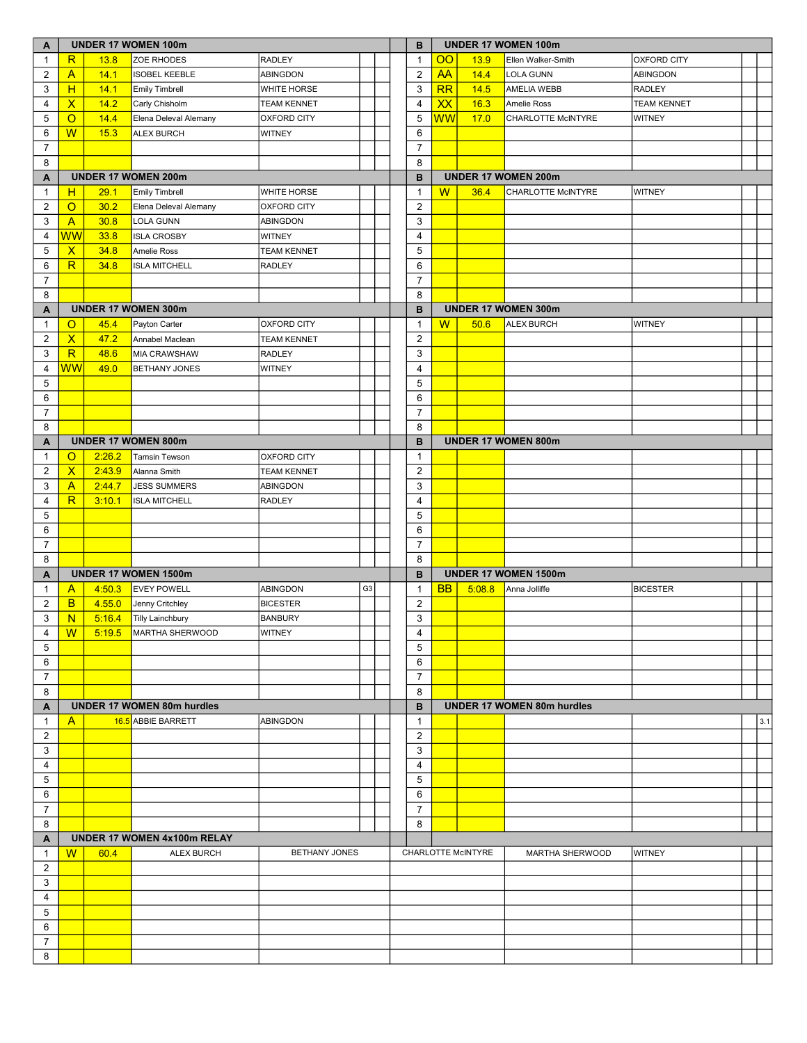| A                 | <b>UNDER 17 WOMEN 100m</b> |        |                                   |                    |                |  | в                       |                        | <b>UNDER 17 WOMEN 100m</b> |                                   |                    |     |  |
|-------------------|----------------------------|--------|-----------------------------------|--------------------|----------------|--|-------------------------|------------------------|----------------------------|-----------------------------------|--------------------|-----|--|
| $\mathbf{1}$      | $\overline{\mathsf{R}}$    | 13.8   | ZOE RHODES                        | <b>RADLEY</b>      |                |  | $\mathbf{1}$            | $\overline{O}O$        | 13.9                       | Ellen Walker-Smith                | <b>OXFORD CITY</b> |     |  |
| 2                 | $\overline{A}$             | 14.1   | <b>ISOBEL KEEBLE</b>              | ABINGDON           |                |  | $\overline{2}$          | <b>AA</b>              | 14.4                       | LOLA GUNN                         | ABINGDON           |     |  |
| 3                 | H                          | 14.1   | <b>Emily Timbrell</b>             | WHITE HORSE        |                |  | 3                       | RR                     | 14.5                       | <b>AMELIA WEBB</b>                | <b>RADLEY</b>      |     |  |
| 4                 | $\overline{\mathsf{X}}$    | 14.2   | Carly Chisholm                    | <b>TEAM KENNET</b> |                |  | $\overline{4}$          | XX                     | 16.3                       | Amelie Ross                       | <b>TEAM KENNET</b> |     |  |
| 5                 | $\circ$                    | 14.4   | Elena Deleval Alemany             | OXFORD CITY        |                |  | $\mathbf 5$             | $\overline{\text{WW}}$ | 17.0                       | <b>CHARLOTTE McINTYRE</b>         | <b>WITNEY</b>      |     |  |
| 6                 | W                          | 15.3   | <b>ALEX BURCH</b>                 | <b>WITNEY</b>      |                |  | 6                       |                        |                            |                                   |                    |     |  |
| 7                 |                            |        |                                   |                    |                |  | $\overline{7}$          |                        |                            |                                   |                    |     |  |
| 8                 |                            |        |                                   |                    |                |  | 8                       |                        |                            |                                   |                    |     |  |
| A                 |                            |        | <b>UNDER 17 WOMEN 200m</b>        |                    |                |  | в                       |                        |                            | <b>UNDER 17 WOMEN 200m</b>        |                    |     |  |
| $\mathbf{1}$      | H                          | 29.1   | <b>Emily Timbrell</b>             | WHITE HORSE        |                |  | $\mathbf{1}$            | W                      | 36.4                       | <b>CHARLOTTE McINTYRE</b>         | <b>WITNEY</b>      |     |  |
| 2                 | $\circ$                    | 30.2   | Elena Deleval Alemany             | OXFORD CITY        |                |  | $\overline{2}$          |                        |                            |                                   |                    |     |  |
| 3                 | $\overline{A}$             | 30.8   | LOLA GUNN                         | ABINGDON           |                |  | $\mathbf{3}$            |                        |                            |                                   |                    |     |  |
| 4                 | <b>WW</b>                  | 33.8   | <b>ISLA CROSBY</b>                | <b>WITNEY</b>      |                |  | $\overline{4}$          |                        |                            |                                   |                    |     |  |
| 5                 | $\mathsf{X}$               | 34.8   | Amelie Ross                       | <b>TEAM KENNET</b> |                |  | 5                       |                        |                            |                                   |                    |     |  |
| 6                 | $\overline{\mathsf{R}}$    | 34.8   | <b>ISLA MITCHELL</b>              | <b>RADLEY</b>      |                |  | 6                       |                        |                            |                                   |                    |     |  |
| $\overline{7}$    |                            |        |                                   |                    |                |  | $\overline{7}$          |                        |                            |                                   |                    |     |  |
| 8                 |                            |        |                                   |                    |                |  | 8                       |                        |                            |                                   |                    |     |  |
|                   |                            |        | UNDER 17 WOMEN 300m               |                    |                |  | в                       |                        |                            | UNDER 17 WOMEN 300m               |                    |     |  |
| A<br>$\mathbf{1}$ | $\circ$                    | 45.4   |                                   | <b>OXFORD CITY</b> |                |  | $\mathbf{1}$            | W                      | 50.6                       | <b>ALEX BURCH</b>                 | <b>WITNEY</b>      |     |  |
| 2                 | $\mathsf{X}$               | 47.2   | Payton Carter<br>Annabel Maclean  | <b>TEAM KENNET</b> |                |  | $\overline{2}$          |                        |                            |                                   |                    |     |  |
|                   | $\overline{\mathsf{R}}$    |        |                                   |                    |                |  |                         |                        |                            |                                   |                    |     |  |
| 3                 | <b>WW</b>                  | 48.6   | <b>MIA CRAWSHAW</b>               | <b>RADLEY</b>      |                |  | 3                       |                        |                            |                                   |                    |     |  |
| 4                 |                            | 49.0   | <b>BETHANY JONES</b>              | <b>WITNEY</b>      |                |  | 4                       |                        |                            |                                   |                    |     |  |
| 5                 |                            |        |                                   |                    |                |  | 5                       |                        |                            |                                   |                    |     |  |
| 6                 |                            |        |                                   |                    |                |  | 6                       |                        |                            |                                   |                    |     |  |
| $\overline{7}$    |                            |        |                                   |                    |                |  | $\overline{7}$          |                        |                            |                                   |                    |     |  |
| 8                 |                            |        |                                   |                    |                |  | 8                       |                        |                            |                                   |                    |     |  |
| A                 |                            |        | UNDER 17 WOMEN 800m               |                    |                |  | B                       |                        |                            | UNDER 17 WOMEN 800m               |                    |     |  |
| 1                 | $\circ$                    | 2:26.2 | <b>Tamsin Tewson</b>              | <b>OXFORD CITY</b> |                |  | $\mathbf{1}$            |                        |                            |                                   |                    |     |  |
| 2                 | $\overline{\mathsf{x}}$    | 2:43.9 | Alanna Smith                      | <b>TEAM KENNET</b> |                |  | $\overline{2}$          |                        |                            |                                   |                    |     |  |
| 3                 | $\overline{A}$             | 2:44.7 | <b>JESS SUMMERS</b>               | <b>ABINGDON</b>    |                |  | 3                       |                        |                            |                                   |                    |     |  |
| 4                 | R                          | 3:10.1 | <b>ISLA MITCHELL</b>              | RADLEY             |                |  | $\overline{4}$          |                        |                            |                                   |                    |     |  |
| 5                 |                            |        |                                   |                    |                |  | 5                       |                        |                            |                                   |                    |     |  |
| 6                 |                            |        |                                   |                    |                |  | 6                       |                        |                            |                                   |                    |     |  |
| $\overline{7}$    |                            |        |                                   |                    |                |  | $\overline{7}$          |                        |                            |                                   |                    |     |  |
| 8                 |                            |        |                                   |                    |                |  | 8                       |                        |                            |                                   |                    |     |  |
| A                 |                            |        | UNDER 17 WOMEN 1500m              |                    |                |  | в                       |                        |                            | UNDER 17 WOMEN 1500m              |                    |     |  |
| $\mathbf{1}$      | A                          | 4:50.3 | <b>EVEY POWELL</b>                | <b>ABINGDON</b>    | G <sub>3</sub> |  | $\mathbf{1}$            | <b>BB</b>              | 5:08.8                     | Anna Jolliffe                     | <b>BICESTER</b>    |     |  |
| $\overline{2}$    | B                          | 4.55.0 | Jenny Critchley                   | <b>BICESTER</b>    |                |  | $\overline{\mathbf{c}}$ |                        |                            |                                   |                    |     |  |
| 3                 | N                          | 5:16.4 | <b>Tilly Lainchbury</b>           | <b>BANBURY</b>     |                |  | 3                       |                        |                            |                                   |                    |     |  |
| 4                 | $\overline{\mathsf{W}}$    | 5:19.5 | MARTHA SHERWOOD                   | <b>WITNEY</b>      |                |  | 4                       |                        |                            |                                   |                    |     |  |
| 5                 |                            |        |                                   |                    |                |  | 5                       |                        |                            |                                   |                    |     |  |
| 6                 |                            |        |                                   |                    |                |  | 6                       |                        |                            |                                   |                    |     |  |
| $\overline{7}$    |                            |        |                                   |                    |                |  | $\overline{7}$          |                        |                            |                                   |                    |     |  |
| 8                 |                            |        |                                   |                    |                |  | 8                       |                        |                            |                                   |                    |     |  |
| A                 |                            |        | <b>UNDER 17 WOMEN 80m hurdles</b> |                    |                |  | B                       |                        |                            | <b>UNDER 17 WOMEN 80m hurdles</b> |                    |     |  |
| $\mathbf{1}$      | $\mathsf{A}$               |        | 16.5 ABBIE BARRETT                | ABINGDON           |                |  | $\mathbf{1}$            |                        |                            |                                   |                    | 3.1 |  |
| 2                 |                            |        |                                   |                    |                |  | 2                       |                        |                            |                                   |                    |     |  |
| 3                 |                            |        |                                   |                    |                |  | 3                       |                        |                            |                                   |                    |     |  |
| 4                 |                            |        |                                   |                    |                |  | $\overline{4}$          |                        |                            |                                   |                    |     |  |
| 5                 |                            |        |                                   |                    |                |  | 5                       |                        |                            |                                   |                    |     |  |
| 6                 |                            |        |                                   |                    |                |  | 6                       |                        |                            |                                   |                    |     |  |
| $\overline{7}$    |                            |        |                                   |                    |                |  | $\overline{7}$          |                        |                            |                                   |                    |     |  |
| 8                 |                            |        |                                   |                    |                |  | 8                       |                        |                            |                                   |                    |     |  |
| A                 |                            |        | UNDER 17 WOMEN 4x100m RELAY       |                    |                |  |                         |                        |                            |                                   |                    |     |  |
| $\overline{1}$    | W                          | 60.4   | <b>ALEX BURCH</b>                 | BETHANY JONES      |                |  |                         |                        | CHARLOTTE McINTYRE         | <b>MARTHA SHERWOOD</b>            | <b>WITNEY</b>      |     |  |
| $\overline{2}$    |                            |        |                                   |                    |                |  |                         |                        |                            |                                   |                    |     |  |
| 3                 |                            |        |                                   |                    |                |  |                         |                        |                            |                                   |                    |     |  |
| 4                 |                            |        |                                   |                    |                |  |                         |                        |                            |                                   |                    |     |  |
| 5                 |                            |        |                                   |                    |                |  |                         |                        |                            |                                   |                    |     |  |
| 6                 |                            |        |                                   |                    |                |  |                         |                        |                            |                                   |                    |     |  |
| $\overline{7}$    |                            |        |                                   |                    |                |  |                         |                        |                            |                                   |                    |     |  |
| 8                 |                            |        |                                   |                    |                |  |                         |                        |                            |                                   |                    |     |  |